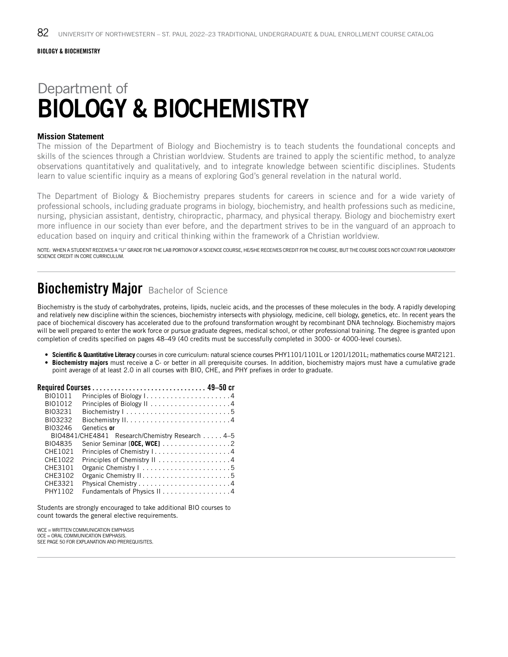# Department of BIOLOGY & BIOCHEMISTRY

#### **Mission Statement**

The mission of the Department of Biology and Biochemistry is to teach students the foundational concepts and skills of the sciences through a Christian worldview. Students are trained to apply the scientific method, to analyze observations quantitatively and qualitatively, and to integrate knowledge between scientific disciplines. Students learn to value scientific inquiry as a means of exploring God's general revelation in the natural world.

The Department of Biology & Biochemistry prepares students for careers in science and for a wide variety of professional schools, including graduate programs in biology, biochemistry, and health professions such as medicine, nursing, physician assistant, dentistry, chiropractic, pharmacy, and physical therapy. Biology and biochemistry exert more influence in our society than ever before, and the department strives to be in the vanguard of an approach to education based on inquiry and critical thinking within the framework of a Christian worldview.

NOTE: WHEN A STUDENT RECEIVES A "U" GRADE FOR THE LAB PORTION OF A SCIENCE COURSE, HE/SHE RECEIVES CREDIT FOR THE COURSE, BUT THE COURSE DOES NOT COUNT FOR LABORATORY SCIENCE CREDIT IN CORE CURRICULUM.

### **Biochemistry Major** Bachelor of Science

Biochemistry is the study of carbohydrates, proteins, lipids, nucleic acids, and the processes of these molecules in the body. A rapidly developing and relatively new discipline within the sciences, biochemistry intersects with physiology, medicine, cell biology, genetics, etc. In recent years the pace of biochemical discovery has accelerated due to the profound transformation wrought by recombinant DNA technology. Biochemistry majors will be well prepared to enter the work force or pursue graduate degrees, medical school, or other professional training. The degree is granted upon completion of credits specified on pages 48–49 (40 credits must be successfully completed in 3000- or 4000-level courses).

- **Scientific & Quantitative Literacy** courses in core curriculum: natural science courses PHY1101/1101L or 1201/1201L; mathematics course MAT2121.
- **Biochemistry majors** must receive a C- or better in all prerequisite courses. In addition, biochemistry majors must have a cumulative grade point average of at least 2.0 in all courses with BIO, CHE, and PHY prefixes in order to graduate.

| <b>BIO1011</b> | Principles of Biology I4                        |  |
|----------------|-------------------------------------------------|--|
| BI01012        |                                                 |  |
| BI03231        |                                                 |  |
| BI03232        |                                                 |  |
| BI03246        | Genetics or                                     |  |
|                | BIO4841/CHE4841 Research/Chemistry Research 4–5 |  |
| <b>BIO4835</b> | Senior Seminar [OCE, WCE] 2                     |  |
| CHE1021        | Principles of Chemistry I. 4                    |  |
| CHE1022        | Principles of Chemistry II 4                    |  |
| CHE3101        |                                                 |  |
| CHE3102        |                                                 |  |
| CHE3321        |                                                 |  |
| PHY1102        | Fundamentals of Physics II4                     |  |

Students are strongly encouraged to take additional BIO courses to count towards the general elective requirements.

WCE = WRITTEN COMMUNICATION EMPHASIS OCE = ORAL COMMUNICATION EMPHASIS. SEE PAGE 50 FOR EXPLANATION AND PREREQUISITES.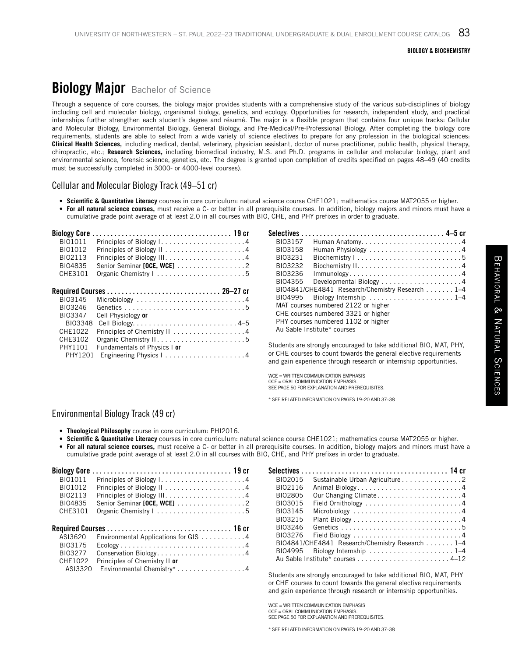#### BIOLOGY & BIOCHEMISTRY

## **Biology Major** Bachelor of Science

Through a sequence of core courses, the biology major provides students with a comprehensive study of the various sub-disciplines of biology including cell and molecular biology, organismal biology, genetics, and ecology. Opportunities for research, independent study, and practical internships further strengthen each student's degree and résumé. The major is a flexible program that contains four unique tracks: Cellular and Molecular Biology, Environmental Biology, General Biology, and Pre-Medical/Pre-Professional Biology. After completing the biology core requirements, students are able to select from a wide variety of science electives to prepare for any profession in the biological sciences: **Clinical Health Sciences,** including medical, dental, veterinary, physician assistant, doctor of nurse practitioner, public health, physical therapy, chiropractic, etc.; **Research Sciences,** including biomedical industry, M.S. and Ph.D. programs in cellular and molecular biology, plant and environmental science, forensic science, genetics, etc. The degree is granted upon completion of credits specified on pages 48–49 (40 credits must be successfully completed in 3000- or 4000-level courses).

#### Cellular and Molecular Biology Track (49–51 cr)

- **Scientific & Quantitative Literacy** courses in core curriculum: natural science course CHE1021; mathematics course MAT2055 or higher.
- **For all natural science courses,** must receive a C- or better in all prerequisite courses. In addition, biology majors and minors must have a cumulative grade point average of at least 2.0 in all courses with BIO, CHE, and PHY prefixes in order to graduate.

| <b>Biology Core</b><br><b>BIO1011</b><br>BI01012<br>BI02113<br>BI04835<br>CHE3101 | Principles of Biology I4<br>Senior Seminar [OCE, WCE] 2<br>Organic Chemistry   5 |
|-----------------------------------------------------------------------------------|----------------------------------------------------------------------------------|
|                                                                                   |                                                                                  |
| BI03145                                                                           |                                                                                  |
| BI03246                                                                           |                                                                                  |
|                                                                                   |                                                                                  |
| BI03347                                                                           | Cell Physiology or                                                               |
| BI03348                                                                           |                                                                                  |
| CHE1022                                                                           | Principles of Chemistry II 4                                                     |
| CHE3102                                                                           |                                                                                  |
| PHY1101                                                                           | Fundamentals of Physics I or                                                     |

| BI03157 |                                                                                |  |
|---------|--------------------------------------------------------------------------------|--|
| BI03158 |                                                                                |  |
| BI03231 |                                                                                |  |
| BI03232 |                                                                                |  |
| BI03236 | $lmmunology. \ldots \ldots \ldots \ldots \ldots \ldots \ldots \ldots \ldots 4$ |  |
| BI04355 |                                                                                |  |
|         | BIO4841/CHE4841 Research/Chemistry Research 1-4                                |  |
|         | BIO4995 Biology Internship 1–4                                                 |  |
|         | MAT courses numbered 2122 or higher                                            |  |
|         | CHE courses numbered 3321 or higher                                            |  |
|         | PHY courses numbered 1102 or higher                                            |  |
|         | Au Sable Institute* courses                                                    |  |

Students are strongly encouraged to take additional BIO, MAT, PHY, or CHE courses to count towards the general elective requirements and gain experience through research or internship opportunities.

WCE = WRITTEN COMMUNICATION EMPHASIS OCE = ORAL COMMUNICATION EMPHASIS. SEE PAGE 50 FOR EXPLANATION AND PREREQUISITES.

\* SEE RELATED INFORMATION ON PAGES 19–20 AND 37–38

#### Environmental Biology Track (49 cr)

- **Theological Philosophy** course in core curriculum: PHI2016.
- **Scientific & Quantitative Literacy** courses in core curriculum: natural science course CHE1021; mathematics course MAT2055 or higher.
- **For all natural science courses,** must receive a C- or better in all prerequisite courses. In addition, biology majors and minors must have a cumulative grade point average of at least 2.0 in all courses with BIO, CHE, and PHY prefixes in order to graduate.

| Senior Seminar [OCE, WCE] 2                                                     |
|---------------------------------------------------------------------------------|
| Organic Chemistry I 5                                                           |
|                                                                                 |
| Environmental Applications for GIS 4                                            |
|                                                                                 |
| $Ecology \ldots \ldots \ldots \ldots \ldots \ldots \ldots \ldots \ldots \ldots$ |
| Conservation Biology4                                                           |
|                                                                                 |
|                                                                                 |

| BI02015 | Sustainable Urban Agriculture 2                 |
|---------|-------------------------------------------------|
| BI02116 |                                                 |
| BI02805 | Our Changing Climate4                           |
| BI03015 |                                                 |
| BI03145 |                                                 |
| BI03215 |                                                 |
| BI03246 |                                                 |
| BI03276 |                                                 |
|         | BIO4841/CHE4841 Research/Chemistry Research 1–4 |
| BI04995 |                                                 |
|         |                                                 |

Students are strongly encouraged to take additional BIO, MAT, PHY or CHE courses to count towards the general elective requirements and gain experience through research or internship opportunities.

WCE = WRITTEN COMMUNICATION EMPHASIS OCE = ORAL COMMUNICATION EMPHASIS. SEE PAGE 50 FOR EXPLANATION AND PREREQUISITES.

\* SEE RELATED INFORMATION ON PAGES 19–20 AND 37–38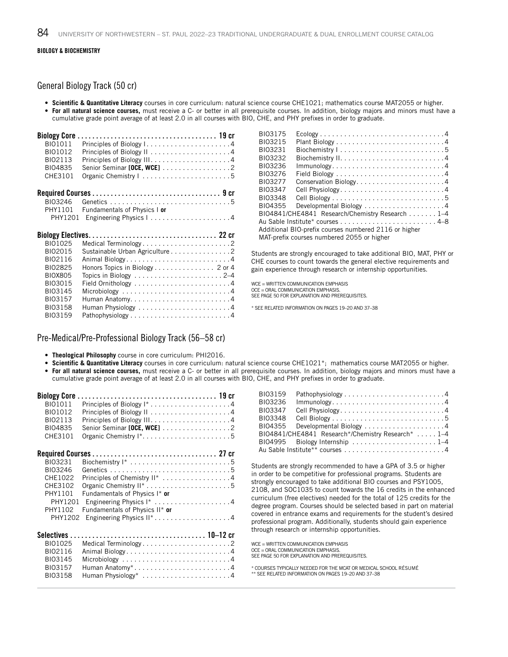#### BIOLOGY & BIOCHEMISTRY

#### General Biology Track (50 cr)

• **Scientific & Quantitative Literacy** courses in core curriculum: natural science course CHE1021; mathematics course MAT2055 or higher. • **For all natural science courses,** must receive a C- or better in all prerequisite courses. In addition, biology majors and minors must have a cumulative grade point average of at least 2.0 in all courses with BIO, CHE, and PHY prefixes in order to graduate.

| <b>Biology Core.</b> |                                                                   |
|----------------------|-------------------------------------------------------------------|
| BI01011              |                                                                   |
| BI01012              |                                                                   |
| BI02113              |                                                                   |
| BI04835              | Senior Seminar [OCE, WCE] 2                                       |
| CHE3101              | Organic Chemistry I 5                                             |
|                      |                                                                   |
| BI03246              |                                                                   |
| PHY1101              | Fundamentals of Physics I or                                      |
| PHY1201              |                                                                   |
|                      |                                                                   |
|                      |                                                                   |
| BI01025              |                                                                   |
| BI02015              | Medical Terminology2                                              |
| BI02116              | Sustainable Urban Agriculture 2                                   |
| BI02825              | Animal Biology4                                                   |
| <b>BIOX805</b>       | Honors Topics in Biology 2 or 4                                   |
| BI03015              |                                                                   |
| BI03145              | Microbiology $\dots\dots\dots\dots\dots\dots\dots\dots\dots\dots$ |
| BI03157              |                                                                   |
| BI03158              |                                                                   |

| BI03175 | $Ecology \ldots \ldots \ldots \ldots \ldots \ldots \ldots \ldots \ldots \ldots \ldots \ldots$ |
|---------|-----------------------------------------------------------------------------------------------|
| BI03215 |                                                                                               |
| BI03231 |                                                                                               |
| BI03232 |                                                                                               |
| BI03236 | $Immunology. \ldots \ldots \ldots \ldots \ldots \ldots \ldots \ldots \ldots \ldots 4$         |
| BI03276 |                                                                                               |
| BI03277 | Conservation Biology4                                                                         |
| BI03347 | Cell Physiology4                                                                              |
| BI03348 |                                                                                               |
| BI04355 | Developmental Biology $\dots\dots\dots\dots\dots\dots\dots$                                   |
|         | BIO4841/CHE4841 Research/Chemistry Research 1-4                                               |
|         |                                                                                               |
|         | Additional BIO-prefix courses numbered 2116 or higher                                         |
|         | MAT-prefix courses numbered 2055 or higher                                                    |

Students are strongly encouraged to take additional BIO, MAT, PHY or CHE courses to count towards the general elective requirements and gain experience through research or internship opportunities.

WCE - WRITTEN COMMUNICATION EMPHASIS OCE = ORAL COMMUNICATION EMPHASIS. SEE PAGE 50 FOR EXPLANATION AND PREREQUISITES.

\* SEE RELATED INFORMATION ON PAGES 19–20 AND 37–38

#### Pre-Medical/Pre-Professional Biology Track (56–58 cr)

- **Theological Philosophy** course in core curriculum: PHI2016.
- **Scientific & Quantitative Literacy** courses in core curriculum: natural science course CHE1021\*; mathematics course MAT2055 or higher. • **For all natural science courses,** must receive a C- or better in all prerequisite courses. In addition, biology majors and minors must have a cumulative grade point average of at least 2.0 in all courses with BIO, CHE, and PHY prefixes in order to graduate.

| BI01011     |                                |
|-------------|--------------------------------|
| BI01012     |                                |
| BI02113     |                                |
| BI04835     | Senior Seminar [OCE, WCE] 2    |
| CHE3101     |                                |
|             |                                |
| BI03231     |                                |
| BI03246     |                                |
| CHE1022     | Principles of Chemistry II* 4  |
| CHE3102     |                                |
| PHY1101     | Fundamentals of Physics I* or  |
| PHY1201     |                                |
| PHY1102     | Fundamentals of Physics II* or |
| PHY1202     |                                |
| Selectives. |                                |
| BI01025     | Medical Terminology2           |
| BI02116     | Animal Biology4                |
| BI03145     |                                |
| BI03157     | Human Anatomy*4                |
| BI03158     | Human Physiology* 4            |

| BI03159 | Pathophysiology4                                  |
|---------|---------------------------------------------------|
| BI03236 |                                                   |
| BI03347 | Cell Physiology4                                  |
| BI03348 |                                                   |
|         | BIO4355 Developmental Biology 4                   |
|         | BIO4841/CHE4841 Research*/Chemistry Research* 1–4 |
|         |                                                   |
|         | Au Sable Institute** courses 4                    |

Students are strongly recommended to have a GPA of 3.5 or higher in order to be competitive for professional programs. Students are strongly encouraged to take additional BIO courses and PSY1005, 2108, and SOC1035 to count towards the 16 credits in the enhanced curriculum (free electives) needed for the total of 125 credits for the degree program. Courses should be selected based in part on material covered in entrance exams and requirements for the student's desired professional program. Additionally, students should gain experience through research or internship opportunities.

WCE = WRITTEN COMMUNICATION EMPHASIS OCE = ORAL COMMUNICATION EMPHASIS. SEE PAGE 50 FOR EXPLANATION AND PREREQUISITES.

\* COURSES TYPICALLY NEEDED FOR THE MCAT OR MEDICAL SCHOOL RÉSUMÉ \*\* SEE RELATED INFORMATION ON PAGES 19–20 AND 37–38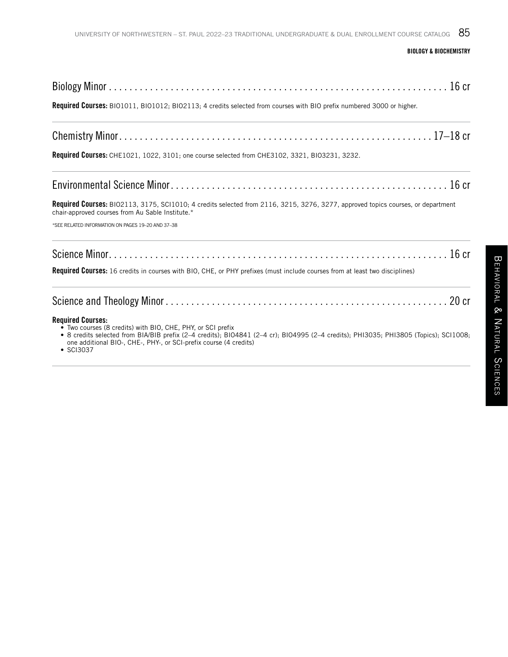#### BIOLOGY & BIOCHEMISTRY

Required Courses: BIO1011, BIO1012; BIO2113; 4 credits selected from courses with BIO prefix numbered 3000 or higher.

|--|--|--|--|--|--|--|--|--|--|--|--|--|--|--|--|--|--|--|--|--|--|--|--|--|--|--|--|--|--|--|--|--|--|--|--|--|--|--|--|--|--|--|--|--|--|--|--|--|--|--|--|

Required Courses: CHE1021, 1022, 3101; one course selected from CHE3102, 3321, BIO3231, 3232.

|--|--|

Required Courses: BIO2113, 3175, SCI1010; 4 credits selected from 2116, 3215, 3276, 3277, approved topics courses, or department chair-approved courses from Au Sable Institute.\*

\*SEE RELATED INFORMATION ON PAGES 19–20 AND 37–38

Science Minor . . . . . . . . . . . . . . . . . . . . . . . . . . . . . . . . . . . . . . . . . . . . . . . . . . . . . . . . . . . . . . . . . . 16 cr

Required Courses: 16 credits in courses with BIO, CHE, or PHY prefixes (must include courses from at least two disciplines)

| <b>Required Courses:</b><br>• Two courses (8 credits) with BIO, CHE, PHY, or SCI prefix<br>• 8 credits selected from BIA/BIB prefix (2-4 credits); BIO4841 (2-4 cr); BIO4995 (2-4 credits); PHI3035; PHI3805 (Topics): SCI1008:<br>one additional BIO-, CHE-, PHY-, or SCI-prefix course (4 credits)<br>$\bullet$ SCI3037 |  |
|---------------------------------------------------------------------------------------------------------------------------------------------------------------------------------------------------------------------------------------------------------------------------------------------------------------------------|--|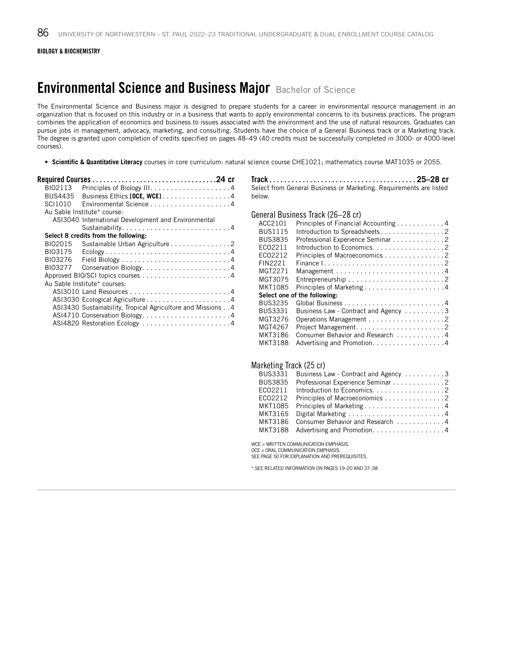## **Environmental Science and Business Major** Bachelor of Science

The Environmental Science and Business major is designed to prepare students for a career in environmental resource management in an organization that is focused on this industry or in a business that wants to apply environmental concerns to its business practices. The program combines the application of economics and business to issues associated with the environment and the use of natural resources. Graduates can pursue jobs in management, advocacy, marketing, and consulting. Students have the choice of a General Business track or a Marketing track. The degree is granted upon completion of credits specified on pages 48–49 (40 credits must be successfully completed in 3000- or 4000-level courses).

• **Scientific & Quantitative Literacy** courses in core curriculum: natural science course CHE1021; mathematics course MAT1035 or 2055.

| BI02113        |                                                                                               |
|----------------|-----------------------------------------------------------------------------------------------|
| <b>BUS4435</b> | Business Ethics [OCE, WCE]. 4                                                                 |
| SCI1010        |                                                                                               |
|                | Au Sable Institute* course:                                                                   |
|                | ASI3040 International Development and Environmental                                           |
|                |                                                                                               |
|                | Select 8 credits from the following:                                                          |
| BI02015        | Sustainable Urban Agriculture 2                                                               |
| BI03175        | $Ecology \ldots \ldots \ldots \ldots \ldots \ldots \ldots \ldots \ldots \ldots \ldots \ldots$ |
| BI03276        |                                                                                               |
| BI03277        | Conservation Biology4                                                                         |
|                |                                                                                               |
|                | Au Sable Institute* courses:                                                                  |
|                |                                                                                               |
|                |                                                                                               |
|                | ASI3430 Sustainability, Tropical Agriculture and Missions 4                                   |
|                | ASI4710 Conservation Biology4                                                                 |
|                | ASI4820 Restoration Ecology 4                                                                 |
|                |                                                                                               |

Track. . **25–28 cr** Select from General Business or Marketing. Requirements are listed below.

#### General Business Track (26–28 cr)

| ACC2101                      | Principles of Financial Accounting 4 |  |  |  |
|------------------------------|--------------------------------------|--|--|--|
| <b>BUS1115</b>               | Introduction to Spreadsheets2        |  |  |  |
| <b>BUS3835</b>               | Professional Experience Seminar 2    |  |  |  |
| EC02211                      | Introduction to Economics. 2         |  |  |  |
| EC02212                      | Principles of Macroeconomics 2       |  |  |  |
| FIN2221                      |                                      |  |  |  |
| MGT2271                      |                                      |  |  |  |
| MGT3075                      |                                      |  |  |  |
| MKT1085                      | Principles of Marketing4             |  |  |  |
| Select one of the following: |                                      |  |  |  |
| <b>BUS3235</b>               |                                      |  |  |  |
| <b>BUS3331</b>               | Business Law - Contract and Agency 3 |  |  |  |
| MGT3276                      |                                      |  |  |  |
| MGT4267                      | Project Management2                  |  |  |  |
| MKT3186                      | Consumer Behavior and Research 4     |  |  |  |
| <b>MKT3188</b>               | Advertising and Promotion. 4         |  |  |  |

#### Marketing Track (25 cr)

| BUS3331        | Business Law - Contract and Agency 3     |
|----------------|------------------------------------------|
| <b>BUS3835</b> | Professional Experience Seminar 2        |
| EC02211        |                                          |
|                | ECO2212 Principles of Macroeconomics 2   |
|                | MKT1085 Principles of Marketing4         |
|                | MKT3165 Digital Marketing 4              |
|                | MKT3186 Consumer Behavior and Research 4 |
|                | MKT3188 Advertising and Promotion4       |

WCE = WRITTEN COMMUNICATION EMPHASIS.

OCE = ORAL COMMUNICATION EMPHASIS. SEE PAGE 50 FOR EXPLANATION AND PREREQUISITES.

\* SEE RELATED INFORMATION ON PAGES 19–20 AND 37–38